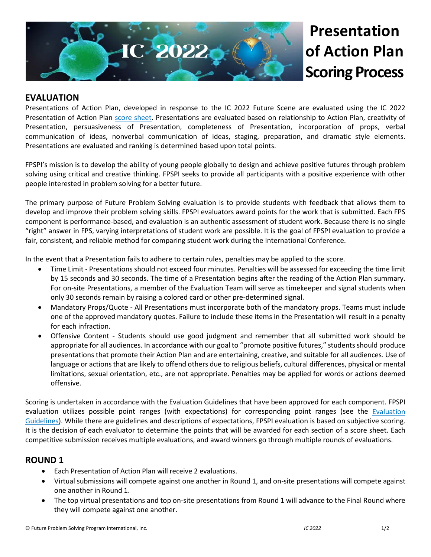

# **Presentation of Action Plan Scoring Process**

## **EVALUATION**

Presentations of Action Plan, developed in response to the IC 2022 Future Scene are evaluated using the IC 2022 Presentation of Action Plan [score sheet.](https://files.constantcontact.com/30b48d3a001/13ca6054-a985-463f-8e6c-79c3097b6531.pdf) Presentations are evaluated based on relationship to Action Plan, creativity of Presentation, persuasiveness of Presentation, completeness of Presentation, incorporation of props, verbal communication of ideas, nonverbal communication of ideas, staging, preparation, and dramatic style elements. Presentations are evaluated and ranking is determined based upon total points.

FPSPI's mission is to develop the ability of young people globally to design and achieve positive futures through problem solving using critical and creative thinking. FPSPI seeks to provide all participants with a positive experience with other people interested in problem solving for a better future.

The primary purpose of Future Problem Solving evaluation is to provide students with feedback that allows them to develop and improve their problem solving skills. FPSPI evaluators award points for the work that is submitted. Each FPS component is performance-based, and evaluation is an authentic assessment of student work. Because there is no single "right" answer in FPS, varying interpretations of student work are possible. It is the goal of FPSPI evaluation to provide a fair, consistent, and reliable method for comparing student work during the International Conference.

In the event that a Presentation fails to adhere to certain rules, penalties may be applied to the score.

- Time Limit Presentations should not exceed four minutes. Penalties will be assessed for exceeding the time limit by 15 seconds and 30 seconds. The time of a Presentation begins after the reading of the Action Plan summary. For on-site Presentations, a member of the Evaluation Team will serve as timekeeper and signal students when only 30 seconds remain by raising a colored card or other pre-determined signal.
- Mandatory Props/Quote All Presentations must incorporate both of the mandatory props. Teams must include one of the approved mandatory quotes. Failure to include these items in the Presentation will result in a penalty for each infraction.
- Offensive Content Students should use good judgment and remember that all submitted work should be appropriate for all audiences. In accordance with our goal to "promote positive futures," students should produce presentations that promote their Action Plan and are entertaining, creative, and suitable for all audiences. Use of language or actions that are likely to offend others due to religious beliefs, cultural differences, physical or mental limitations, sexual orientation, etc., are not appropriate. Penalties may be applied for words or actions deemed offensive.

Scoring is undertaken in accordance with the Evaluation Guidelines that have been approved for each component. FPSPI evaluation utilizes possible point ranges (with expectations) for corresponding point ranges (see the [Evaluation](https://www.fpspimart.org/product/evaluation-guidelines/)  [Guidelines\)](https://www.fpspimart.org/product/evaluation-guidelines/). While there are guidelines and descriptions of expectations, FPSPI evaluation is based on subjective scoring. It is the decision of each evaluator to determine the points that will be awarded for each section of a score sheet. Each competitive submission receives multiple evaluations, and award winners go through multiple rounds of evaluations.

#### **ROUND 1**

- Each Presentation of Action Plan will receive 2 evaluations.
- Virtual submissions will compete against one another in Round 1, and on-site presentations will compete against one another in Round 1.
- The top virtual presentations and top on-site presentations from Round 1 will advance to the Final Round where they will compete against one another.